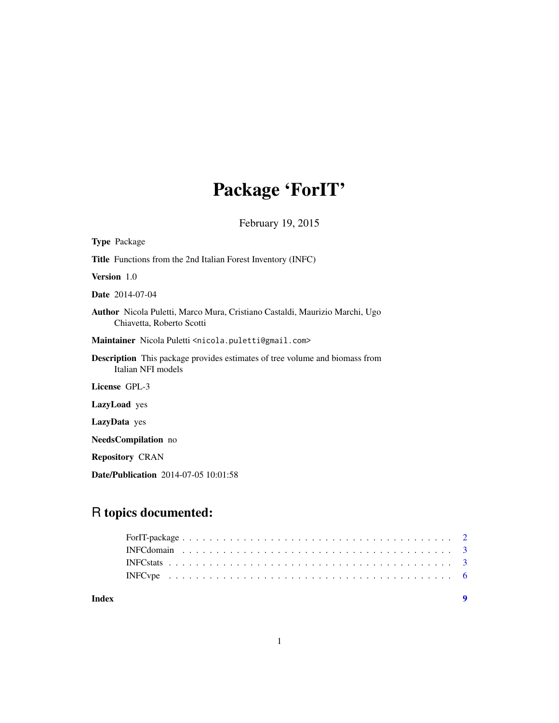# Package 'ForIT'

February 19, 2015

| <b>Type</b> Package                                                                                             |  |
|-----------------------------------------------------------------------------------------------------------------|--|
| <b>Title</b> Functions from the 2nd Italian Forest Inventory (INFC)                                             |  |
| Version 1.0                                                                                                     |  |
| <b>Date</b> 2014-07-04                                                                                          |  |
| <b>Author</b> Nicola Puletti, Marco Mura, Cristiano Castaldi, Maurizio Marchi, Ugo<br>Chiavetta, Roberto Scotti |  |
| Maintainer Nicola Puletti <nicola.puletti@gmail.com></nicola.puletti@gmail.com>                                 |  |
| <b>Description</b> This package provides estimates of tree volume and biomass from<br>Italian NFI models        |  |
| License GPL-3                                                                                                   |  |
| <b>LazyLoad</b> yes                                                                                             |  |
| LazyData yes                                                                                                    |  |
| <b>NeedsCompilation</b> no                                                                                      |  |
| <b>Repository CRAN</b>                                                                                          |  |
| <b>Date/Publication</b> 2014-07-05 10:01:58                                                                     |  |

# R topics documented:

| Index |  |
|-------|--|
|       |  |
|       |  |
|       |  |
|       |  |
|       |  |

1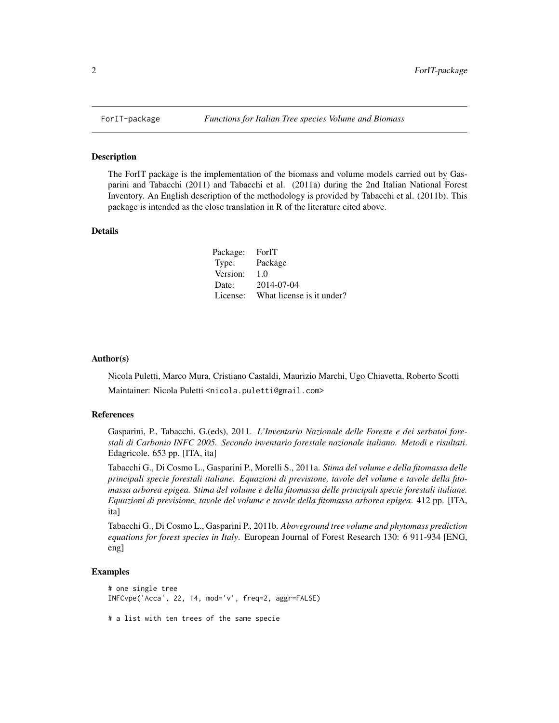<span id="page-1-0"></span>

#### Description

The ForIT package is the implementation of the biomass and volume models carried out by Gasparini and Tabacchi (2011) and Tabacchi et al. (2011a) during the 2nd Italian National Forest Inventory. An English description of the methodology is provided by Tabacchi et al. (2011b). This package is intended as the close translation in R of the literature cited above.

#### Details

| Package: ForIT |                           |
|----------------|---------------------------|
| Type:          | Package                   |
| Version:       | 1.0                       |
| Date:          | 2014-07-04                |
| License:       | What license is it under? |

#### Author(s)

Nicola Puletti, Marco Mura, Cristiano Castaldi, Maurizio Marchi, Ugo Chiavetta, Roberto Scotti Maintainer: Nicola Puletti <nicola.puletti@gmail.com>

#### References

Gasparini, P., Tabacchi, G.(eds), 2011. *L'Inventario Nazionale delle Foreste e dei serbatoi forestali di Carbonio INFC 2005. Secondo inventario forestale nazionale italiano. Metodi e risultati*. Edagricole. 653 pp. [ITA, ita]

Tabacchi G., Di Cosmo L., Gasparini P., Morelli S., 2011a. *Stima del volume e della fitomassa delle principali specie forestali italiane. Equazioni di previsione, tavole del volume e tavole della fitomassa arborea epigea. Stima del volume e della fitomassa delle principali specie forestali italiane. Equazioni di previsione, tavole del volume e tavole della fitomassa arborea epigea*. 412 pp. [ITA, ita]

Tabacchi G., Di Cosmo L., Gasparini P., 2011b. *Aboveground tree volume and phytomass prediction equations for forest species in Italy*. European Journal of Forest Research 130: 6 911-934 [ENG, eng]

#### Examples

```
# one single tree
INFCvpe('Acca', 22, 14, mod='v', freq=2, aggr=FALSE)
```
# a list with ten trees of the same specie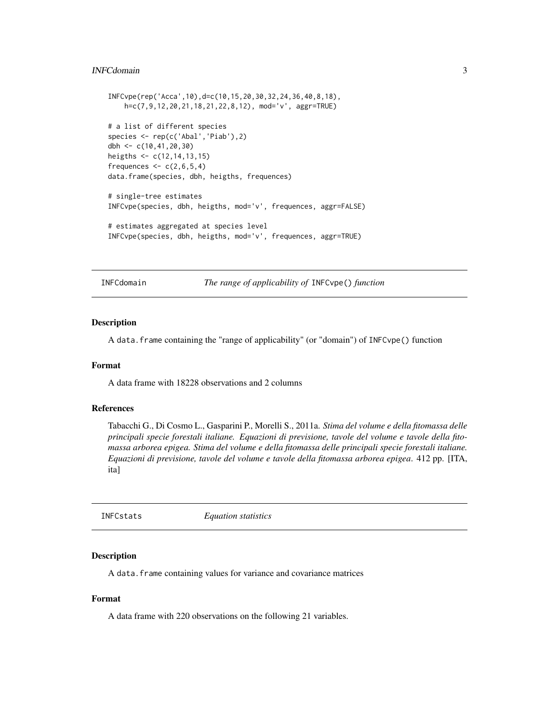#### <span id="page-2-0"></span>INFCdomain 3

```
INFCvpe(rep('Acca',10),d=c(10,15,20,30,32,24,36,40,8,18),
   h=c(7,9,12,20,21,18,21,22,8,12), mod='v', aggr=TRUE)
# a list of different species
species <- rep(c('Abal','Piab'),2)
dbh <- c(10,41,20,30)
heigths <- c(12,14,13,15)
frequences <-c(2,6,5,4)data.frame(species, dbh, heigths, frequences)
# single-tree estimates
INFCvpe(species, dbh, heigths, mod='v', frequences, aggr=FALSE)
# estimates aggregated at species level
INFCvpe(species, dbh, heigths, mod='v', frequences, aggr=TRUE)
```
INFCdomain *The range of applicability of* INFCvpe() *function*

#### Description

A data.frame containing the "range of applicability" (or "domain") of INFCvpe() function

#### Format

A data frame with 18228 observations and 2 columns

#### References

Tabacchi G., Di Cosmo L., Gasparini P., Morelli S., 2011a. *Stima del volume e della fitomassa delle principali specie forestali italiane. Equazioni di previsione, tavole del volume e tavole della fitomassa arborea epigea. Stima del volume e della fitomassa delle principali specie forestali italiane. Equazioni di previsione, tavole del volume e tavole della fitomassa arborea epigea*. 412 pp. [ITA, ita]

INFCstats *Equation statistics*

#### Description

A data.frame containing values for variance and covariance matrices

#### Format

A data frame with 220 observations on the following 21 variables.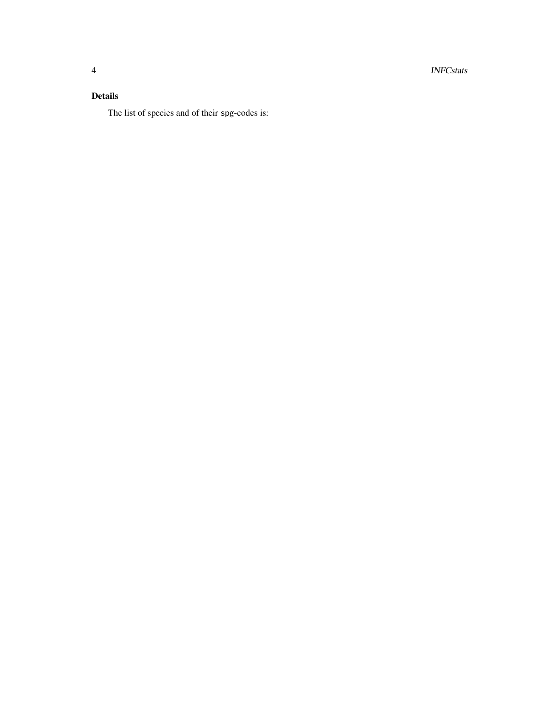4 INFCstats

# Details

The list of species and of their spg-codes is: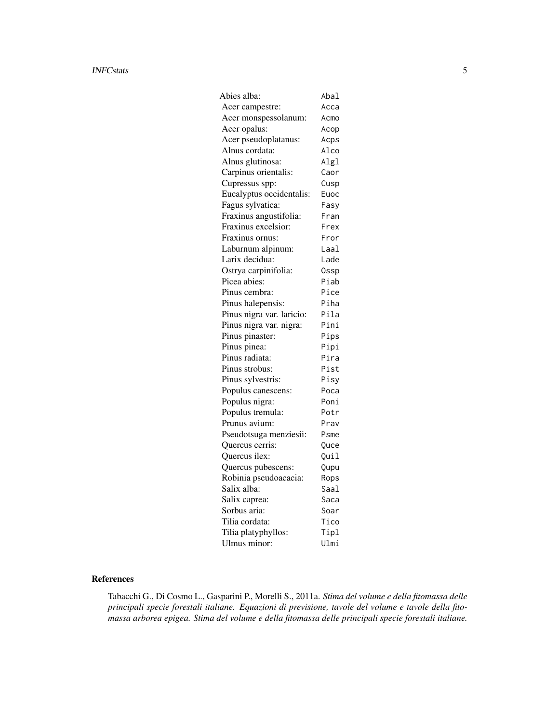#### INFCstats 5

| Abies alba:               | Abal |
|---------------------------|------|
| Acer campestre:           | Acca |
| Acer monspessolanum:      | Acmo |
| Acer opalus:              | Acop |
| Acer pseudoplatanus:      | Acps |
| Alnus cordata:            | Alco |
| Alnus glutinosa:          | Algl |
| Carpinus orientalis:      | Caor |
| Cupressus spp:            | Cusp |
| Eucalyptus occidentalis:  | Euoc |
| Fagus sylvatica:          | Fasy |
| Fraxinus angustifolia:    | Fran |
| Fraxinus excelsior:       | Frex |
| Fraxinus ornus:           | Fror |
| Laburnum alpinum:         | Laal |
| Larix decidua:            | Lade |
| Ostrya carpinifolia:      | 0ssp |
| Picea abies:              | Piab |
| Pinus cembra:             | Pice |
| Pinus halepensis:         | Piha |
| Pinus nigra var. laricio: | Pila |
| Pinus nigra var. nigra:   | Pini |
| Pinus pinaster:           | Pips |
| Pinus pinea:              | Pipi |
| Pinus radiata:            | Pira |
| Pinus strobus:            | Pist |
| Pinus sylvestris:         | Pisy |
| Populus canescens:        | Poca |
| Populus nigra:            | Poni |
| Populus tremula:          | Potr |
| Prunus avium:             | Prav |
| Pseudotsuga menziesii:    | Psme |
| Quercus cerris:           | Quce |
| Quercus ilex:             | Quil |
| Quercus pubescens:        | Qupu |
| Robinia pseudoacacia:     | Rops |
| Salix alba:               | Saal |
| Salix caprea:             | Saca |
| Sorbus aria:              | Soar |
| Tilia cordata:            | Tico |
| Tilia platyphyllos:       | Tipl |
| Ulmus minor:              | Ulmi |

#### References

Tabacchi G., Di Cosmo L., Gasparini P., Morelli S., 2011a. *Stima del volume e della fitomassa delle principali specie forestali italiane. Equazioni di previsione, tavole del volume e tavole della fitomassa arborea epigea. Stima del volume e della fitomassa delle principali specie forestali italiane.*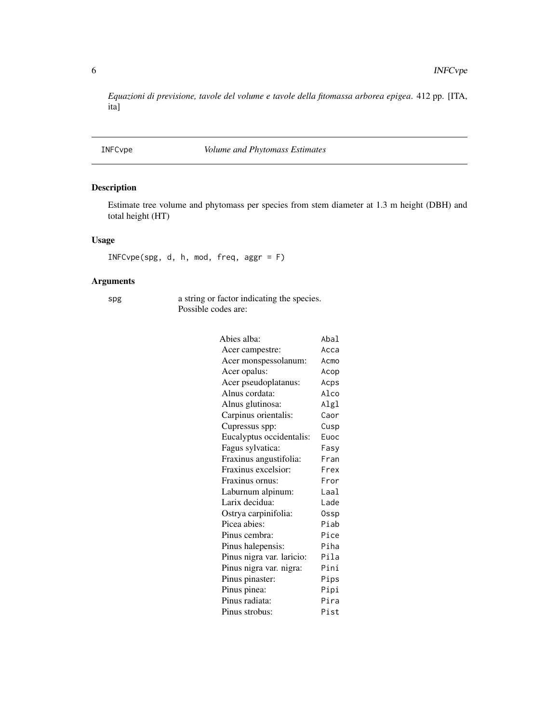<span id="page-5-0"></span>*Equazioni di previsione, tavole del volume e tavole della fitomassa arborea epigea*. 412 pp. [ITA, ita]

### INFCvpe *Volume and Phytomass Estimates*

#### Description

Estimate tree volume and phytomass per species from stem diameter at 1.3 m height (DBH) and total height (HT)

#### Usage

INFCvpe(spg, d, h, mod, freq, aggr = F)

### Arguments

spg a string or factor indicating the species. Possible codes are:

| Abies alba:               | Abal  |
|---------------------------|-------|
| Acer campestre:           | Acca  |
| Acer monspessolanum:      | Acmo  |
| Acer opalus:              | Acop  |
| Acer pseudoplatanus:      | Acps  |
| Alnus cordata:            | Alco  |
| Alnus glutinosa:          | Algl  |
| Carpinus orientalis:      | Caor  |
| Cupressus spp:            | Cusp  |
| Eucalyptus occidentalis:  | Euoc  |
| Fagus sylvatica:          | Fasy  |
| Fraxinus angustifolia:    | Fran  |
| Fraxinus excelsior:       | Frex  |
| Fraxinus ornus:           | Fror  |
| Laburnum alpinum:         | l aal |
| Larix decidua:            | Lade  |
| Ostrya carpinifolia:      | 0ssp  |
| Picea abies:              | Piab  |
| Pinus cembra:             | Pice  |
| Pinus halepensis:         | Piha  |
| Pinus nigra var. laricio: | Pila  |
| Pinus nigra var. nigra:   | Pini  |
| Pinus pinaster:           | Pips  |
| Pinus pinea:              | Pipi  |
| Pinus radiata:            | Pira  |
| Pinus strobus:            | Pist  |
|                           |       |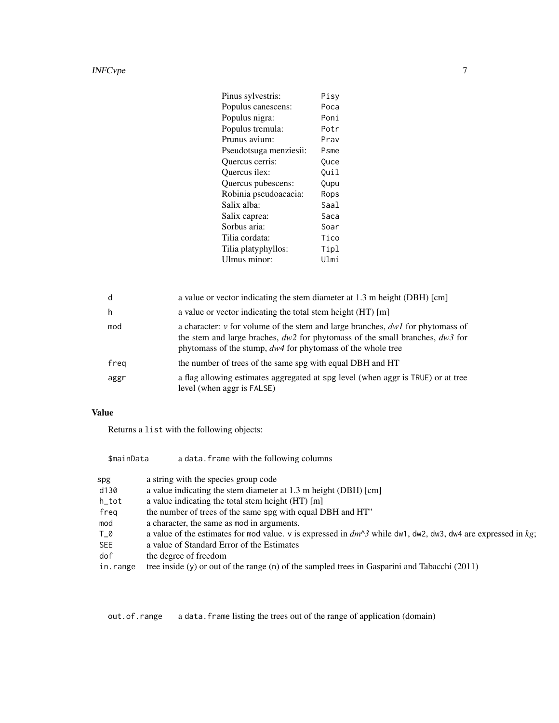#### INFCvpe 7

| Pinus sylvestris:      | Pisv        |
|------------------------|-------------|
| Populus canescens:     | Poca        |
| Populus nigra:         | Poni        |
| Populus tremula:       | Potr        |
| Prunus avium:          | Prav        |
| Pseudotsuga menziesii: | Psme        |
| Quercus cerris:        | <b>Ouce</b> |
| Ouercus ilex:          | Ouil        |
| Quercus pubescens:     | Qupu        |
| Robinia pseudoacacia:  | Rops        |
| Salix alba:            | Saal        |
| Salix caprea:          | Saca        |
| Sorbus aria:           | Soar        |
| Tilia cordata:         | Tico        |
| Tilia platyphyllos:    | Tipl        |
| Ulmus minor:           | Ulmi        |
|                        |             |

| d    | a value or vector indicating the stem diameter at 1.3 m height (DBH) [cm]                                                                                                                                                                 |
|------|-------------------------------------------------------------------------------------------------------------------------------------------------------------------------------------------------------------------------------------------|
| h    | a value or vector indicating the total stem height (HT) [m]                                                                                                                                                                               |
| mod  | a character: $v$ for volume of the stem and large branches, $dwI$ for phytomass of<br>the stem and large braches, $dw^2$ for phytomass of the small branches, $dw^3$ for<br>phytomass of the stump, $dw4$ for phytomass of the whole tree |
| freg | the number of trees of the same spg with equal DBH and HT                                                                                                                                                                                 |
| aggr | a flag allowing estimates aggregated at spg level (when aggr is TRUE) or at tree<br>level (when aggr is FALSE)                                                                                                                            |

# Value

Returns a list with the following objects:

| \$mainData | a data. frame with the following columns                                                                       |
|------------|----------------------------------------------------------------------------------------------------------------|
| spg        | a string with the species group code                                                                           |
| d130       | a value indicating the stem diameter at 1.3 m height (DBH) [cm]                                                |
| h_tot      | a value indicating the total stem height (HT) [m]                                                              |
| freg       | the number of trees of the same spg with equal DBH and HT"                                                     |
| mod        | a character, the same as mod in arguments.                                                                     |
| T 0        | a value of the estimates for mod value. v is expressed in $dm^3$ while dw1, dw2, dw3, dw4 are expressed in kg; |
| <b>SEE</b> | a value of Standard Error of the Estimates                                                                     |
| dof        | the degree of freedom                                                                                          |
| in.range   | tree inside $(y)$ or out of the range $(n)$ of the sampled trees in Gasparini and Tabacchi (2011)              |

out.of.range a data.frame listing the trees out of the range of application (domain)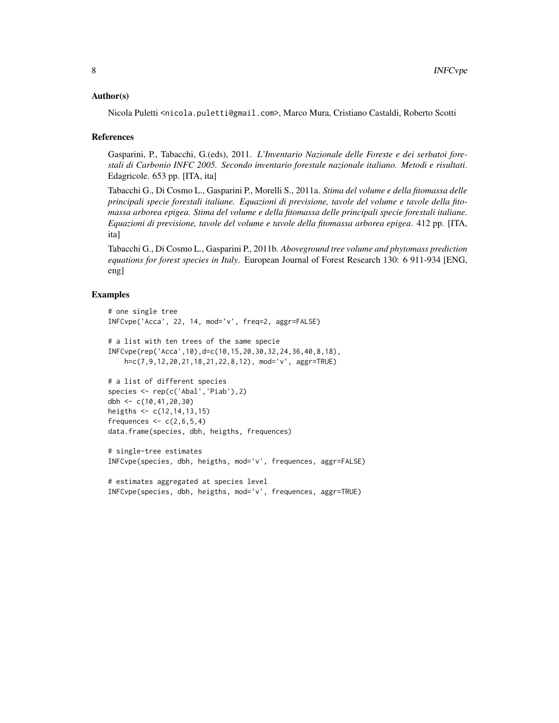#### Author(s)

Nicola Puletti <nicola.puletti@gmail.com>, Marco Mura, Cristiano Castaldi, Roberto Scotti

#### References

Gasparini, P., Tabacchi, G.(eds), 2011. *L'Inventario Nazionale delle Foreste e dei serbatoi forestali di Carbonio INFC 2005. Secondo inventario forestale nazionale italiano. Metodi e risultati*. Edagricole. 653 pp. [ITA, ita]

Tabacchi G., Di Cosmo L., Gasparini P., Morelli S., 2011a. *Stima del volume e della fitomassa delle principali specie forestali italiane. Equazioni di previsione, tavole del volume e tavole della fitomassa arborea epigea. Stima del volume e della fitomassa delle principali specie forestali italiane. Equazioni di previsione, tavole del volume e tavole della fitomassa arborea epigea*. 412 pp. [ITA, ita]

Tabacchi G., Di Cosmo L., Gasparini P., 2011b. *Aboveground tree volume and phytomass prediction equations for forest species in Italy*. European Journal of Forest Research 130: 6 911-934 [ENG, eng]

#### Examples

```
# one single tree
INFCvpe('Acca', 22, 14, mod='v', freq=2, aggr=FALSE)
# a list with ten trees of the same specie
INFCvpe(rep('Acca',10),d=c(10,15,20,30,32,24,36,40,8,18),
   h=c(7,9,12,20,21,18,21,22,8,12), mod='v', aggr=TRUE)
# a list of different species
species <- rep(c('Abal','Piab'),2)
dbh <- c(10,41,20,30)
heigths <- c(12,14,13,15)
frequences \leq c(2,6,5,4)data.frame(species, dbh, heigths, frequences)
```

```
# single-tree estimates
INFCvpe(species, dbh, heigths, mod='v', frequences, aggr=FALSE)
```

```
# estimates aggregated at species level
INFCvpe(species, dbh, heigths, mod='v', frequences, aggr=TRUE)
```